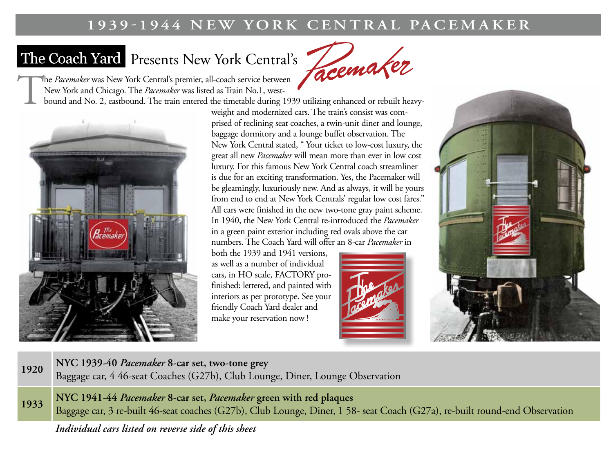#### **1939-1944 NEW YORK CENTRAL PACEMAKER**

## The Coach Yard Presents New York Central's

Facemaker

The *Pacemaker* was New York Central's premier, all-coach service between New York and Chicago. The *Pacemaker* was listed as Train No.1, west-

bound and No. 2, eastbound. The train entered the timetable during 1939 utilizing enhanced or rebuilt heavy-



weight and modernized cars. The train's consist was comprised of reclining seat coaches, a twin-unit diner and lounge, baggage dormitory and a lounge buffet observation. The New York Central stated, " Your ticket to low-cost luxury, the great all new *Pacemaker* will mean more than ever in low cost luxury. For this famous New York Central coach streamliner is due for an exciting transformation. Yes, the Pacemaker will be gleamingly, luxuriously new. And as always, it will be yours from end to end at New York Centrals' regular low cost fares." All cars were finished in the new two-tone gray paint scheme. In 1940, the New York Central re-introduced the *Pacemaker* in a green paint exterior including red ovals above the car numbers. The Coach Yard will offer an 8-car *Pacemaker* in

both the 1939 and 1941 versions, as well as a number of individual cars, in HO scale, FACTORY profinished: lettered, and painted with interiors as per prototype. See your friendly Coach Yard dealer and make your reservation now !





#### **<sup>1920</sup> NYC 1939-40** *Pacemaker* **8-car set, two-tone grey**

Baggage car, 4 46-seat Coaches (G27b), Club Lounge, Diner, Lounge Observation

**<sup>1933</sup> NYC 1941-44** *Pacemaker* **8-car set,** *Pacemaker* **green with red plaques** Baggage car, 3 re-built 46-seat coaches (G27b), Club Lounge, Diner, 1 58- seat Coach (G27a), re-built round-end Observation

*Individual cars listed on reverse side of this sheet*